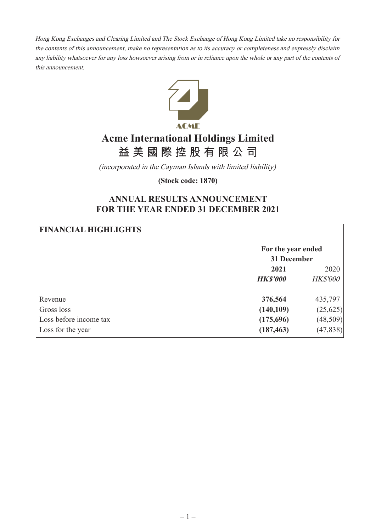Hong Kong Exchanges and Clearing Limited and The Stock Exchange of Hong Kong Limited take no responsibility for the contents of this announcement, make no representation as to its accuracy or completeness and expressly disclaim any liability whatsoever for any loss howsoever arising from or in reliance upon the whole or any part of the contents of this announcement.



# **Acme International Holdings Limited 益 美 國 際 控 股 有 限 公 司**

(incorporated in the Cayman Islands with limited liability)

**(Stock code: 1870)**

# **ANNUAL RESULTS ANNOUNCEMENT FOR THE YEAR ENDED 31 DECEMBER 2021**

| <b>FINANCIAL HIGHLIGHTS</b> |                    |                 |
|-----------------------------|--------------------|-----------------|
|                             | For the year ended |                 |
|                             | 31 December        |                 |
|                             | 2021               | 2020            |
|                             | <b>HK\$'000</b>    | <b>HK\$'000</b> |
| Revenue                     | 376,564            | 435,797         |
| Gross loss                  | (140, 109)         | (25, 625)       |
| Loss before income tax      | (175,696)          | (48,509)        |
| Loss for the year           | (187, 463)         | (47, 838)       |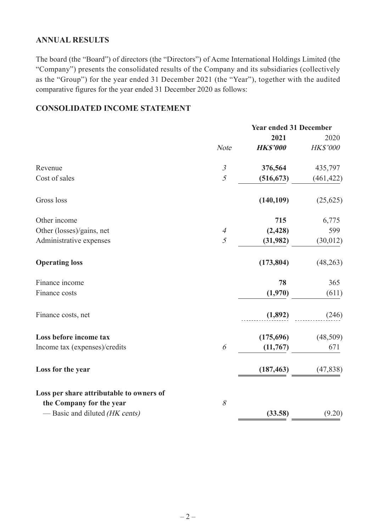# **ANNUAL RESULTS**

The board (the "Board") of directors (the "Directors") of Acme International Holdings Limited (the "Company") presents the consolidated results of the Company and its subsidiaries (collectively as the "Group") for the year ended 31 December 2021 (the "Year"), together with the audited comparative figures for the year ended 31 December 2020 as follows:

# **CONSOLIDATED INCOME STATEMENT**

|                                          |                | <b>Year ended 31 December</b> |            |
|------------------------------------------|----------------|-------------------------------|------------|
|                                          |                | 2021                          | 2020       |
|                                          | <b>Note</b>    | <b>HK\$'000</b>               | HK\$'000   |
| Revenue                                  | $\mathfrak{Z}$ | 376,564                       | 435,797    |
| Cost of sales                            | 5              | (516, 673)                    | (461, 422) |
| Gross loss                               |                | (140, 109)                    | (25, 625)  |
| Other income                             |                | 715                           | 6,775      |
| Other (losses)/gains, net                | $\overline{4}$ | (2, 428)                      | 599        |
| Administrative expenses                  | 5              | (31,982)                      | (30, 012)  |
| <b>Operating loss</b>                    |                | (173, 804)                    | (48, 263)  |
| Finance income                           |                | 78                            | 365        |
| Finance costs                            |                | (1,970)                       | (611)      |
| Finance costs, net                       |                | (1,892)                       | (246)      |
| Loss before income tax                   |                | (175, 696)                    | (48,509)   |
| Income tax (expenses)/credits            | 6              | (11,767)                      | 671        |
| Loss for the year                        |                | (187, 463)                    | (47, 838)  |
| Loss per share attributable to owners of |                |                               |            |
| the Company for the year                 | 8              |                               |            |
| - Basic and diluted (HK cents)           |                | (33.58)                       | (9.20)     |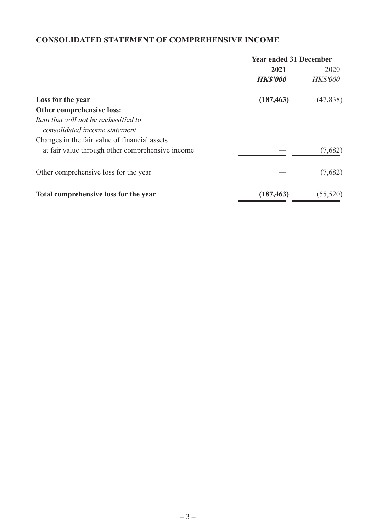# **CONSOLIDATED STATEMENT OF COMPREHENSIVE INCOME**

|                                                  | <b>Year ended 31 December</b> |                 |  |
|--------------------------------------------------|-------------------------------|-----------------|--|
|                                                  | 2021                          | 2020            |  |
|                                                  | <b>HKS'000</b>                | <b>HK\$'000</b> |  |
| Loss for the year                                | (187, 463)                    | (47, 838)       |  |
| Other comprehensive loss:                        |                               |                 |  |
| Item that will not be reclassified to            |                               |                 |  |
| consolidated income statement                    |                               |                 |  |
| Changes in the fair value of financial assets    |                               |                 |  |
| at fair value through other comprehensive income |                               | (7,682)         |  |
| Other comprehensive loss for the year            |                               | (7,682)         |  |
| Total comprehensive loss for the year            | (187, 463)                    | (55, 520)       |  |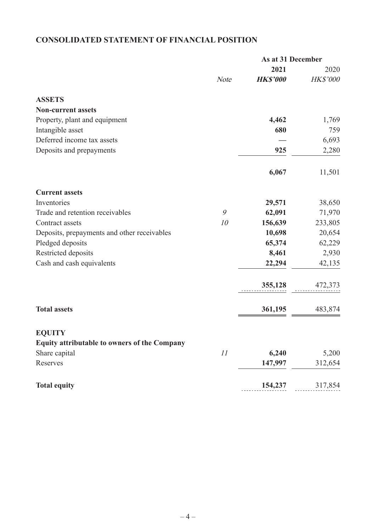# **CONSOLIDATED STATEMENT OF FINANCIAL POSITION**

| As at 31 December           |      |                                                                                       |
|-----------------------------|------|---------------------------------------------------------------------------------------|
| 2021<br>2020                |      |                                                                                       |
| HK\$'000<br><b>HK\$'000</b> | Note |                                                                                       |
|                             |      | <b>ASSETS</b>                                                                         |
|                             |      | <b>Non-current assets</b>                                                             |
| 4,462<br>1,769              |      | Property, plant and equipment                                                         |
| 680<br>759                  |      | Intangible asset                                                                      |
| 6,693                       |      | Deferred income tax assets                                                            |
| 925<br>2,280                |      | Deposits and prepayments                                                              |
| 6,067<br>11,501             |      |                                                                                       |
|                             |      | <b>Current assets</b>                                                                 |
| 38,650<br>29,571            |      | Inventories                                                                           |
| 62,091<br>71,970            | 9    | Trade and retention receivables                                                       |
| 156,639<br>233,805          | 10   | Contract assets                                                                       |
| 10,698<br>20,654            |      | Deposits, prepayments and other receivables                                           |
| 65,374<br>62,229            |      | Pledged deposits                                                                      |
| 8,461<br>2,930              |      | Restricted deposits                                                                   |
| 22,294<br>42,135            |      | Cash and cash equivalents                                                             |
| 355,128<br>472,373          |      |                                                                                       |
| 361,195<br>483,874          |      | <b>Total assets</b>                                                                   |
|                             |      |                                                                                       |
|                             |      |                                                                                       |
| 5,200                       |      |                                                                                       |
| 147,997<br>312,654          |      | Reserves                                                                              |
| 154,237<br>317,854          |      | <b>Total equity</b>                                                                   |
| 6,240                       | 11   | <b>EQUITY</b><br><b>Equity attributable to owners of the Company</b><br>Share capital |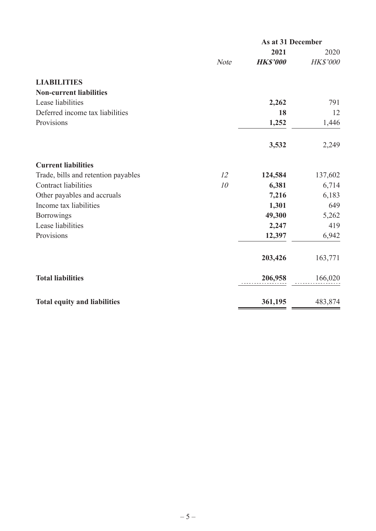|                                     |             | As at 31 December |          |  |
|-------------------------------------|-------------|-------------------|----------|--|
|                                     |             | 2021              | 2020     |  |
|                                     | <b>Note</b> | <b>HK\$'000</b>   | HK\$'000 |  |
| <b>LIABILITIES</b>                  |             |                   |          |  |
| <b>Non-current liabilities</b>      |             |                   |          |  |
| Lease liabilities                   |             | 2,262             | 791      |  |
| Deferred income tax liabilities     |             | 18                | 12       |  |
| Provisions                          |             | 1,252             | 1,446    |  |
|                                     |             | 3,532             | 2,249    |  |
| <b>Current liabilities</b>          |             |                   |          |  |
| Trade, bills and retention payables | 12          | 124,584           | 137,602  |  |
| <b>Contract liabilities</b>         | 10          | 6,381             | 6,714    |  |
| Other payables and accruals         |             | 7,216             | 6,183    |  |
| Income tax liabilities              |             | 1,301             | 649      |  |
| Borrowings                          |             | 49,300            | 5,262    |  |
| Lease liabilities                   |             | 2,247             | 419      |  |
| Provisions                          |             | 12,397            | 6,942    |  |
|                                     |             | 203,426           | 163,771  |  |
| <b>Total liabilities</b>            |             | 206,958           | 166,020  |  |
| <b>Total equity and liabilities</b> |             | 361,195           | 483,874  |  |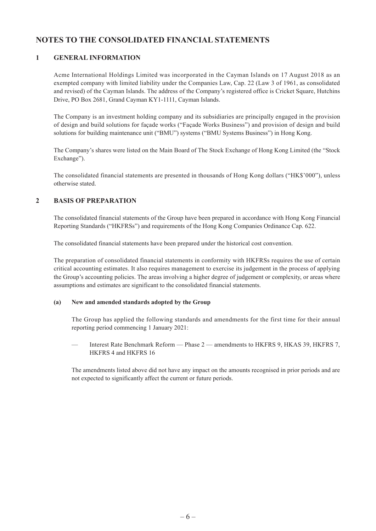# **NOTES TO THE CONSOLIDATED FINANCIAL STATEMENTS**

#### **1 GENERAL INFORMATION**

Acme International Holdings Limited was incorporated in the Cayman Islands on 17 August 2018 as an exempted company with limited liability under the Companies Law, Cap. 22 (Law 3 of 1961, as consolidated and revised) of the Cayman Islands. The address of the Company's registered office is Cricket Square, Hutchins Drive, PO Box 2681, Grand Cayman KY1-1111, Cayman Islands.

The Company is an investment holding company and its subsidiaries are principally engaged in the provision of design and build solutions for façade works ("Façade Works Business") and provision of design and build solutions for building maintenance unit ("BMU") systems ("BMU Systems Business") in Hong Kong.

The Company's shares were listed on the Main Board of The Stock Exchange of Hong Kong Limited (the "Stock Exchange").

The consolidated financial statements are presented in thousands of Hong Kong dollars ("HK\$'000"), unless otherwise stated.

#### **2 BASIS OF PREPARATION**

The consolidated financial statements of the Group have been prepared in accordance with Hong Kong Financial Reporting Standards ("HKFRSs") and requirements of the Hong Kong Companies Ordinance Cap. 622.

The consolidated financial statements have been prepared under the historical cost convention.

The preparation of consolidated financial statements in conformity with HKFRSs requires the use of certain critical accounting estimates. It also requires management to exercise its judgement in the process of applying the Group's accounting policies. The areas involving a higher degree of judgement or complexity, or areas where assumptions and estimates are significant to the consolidated financial statements.

#### **(a) New and amended standards adopted by the Group**

The Group has applied the following standards and amendments for the first time for their annual reporting period commencing 1 January 2021:

— Interest Rate Benchmark Reform — Phase 2 — amendments to HKFRS 9, HKAS 39, HKFRS 7, HKFRS 4 and HKFRS 16

The amendments listed above did not have any impact on the amounts recognised in prior periods and are not expected to significantly affect the current or future periods.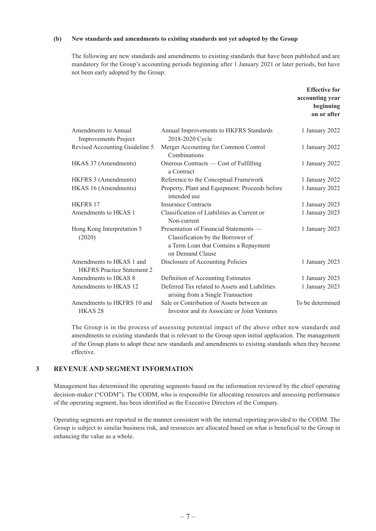#### **(b) New standards and amendments to existing standards not yet adopted by the Group**

The following are new standards and amendments to existing standards that have been published and are mandatory for the Group's accounting periods beginning after 1 January 2021 or later periods, but have not been early adopted by the Group:

|                                                               |                                                                                                                                          | <b>Effective for</b><br>accounting year<br>beginning<br>on or after |
|---------------------------------------------------------------|------------------------------------------------------------------------------------------------------------------------------------------|---------------------------------------------------------------------|
| Amendments to Annual<br><b>Improvements Project</b>           | Annual Improvements to HKFRS Standards<br>2018-2020 Cycle                                                                                | 1 January 2022                                                      |
| Revised Accounting Guideline 5                                | Merger Accounting for Common Control<br>Combinations                                                                                     | 1 January 2022                                                      |
| HKAS 37 (Amendments)                                          | Onerous Contracts — Cost of Fulfilling<br>a Contract                                                                                     | 1 January 2022                                                      |
| HKFRS 3 (Amendments)                                          | Reference to the Conceptual Framework                                                                                                    | 1 January 2022                                                      |
| HKAS 16 (Amendments)                                          | Property, Plant and Equipment: Proceeds before<br>intended use                                                                           | 1 January 2022                                                      |
| HKFRS <sub>17</sub>                                           | <b>Insurance Contracts</b>                                                                                                               | 1 January 2023                                                      |
| Amendments to HKAS 1                                          | Classification of Liabilities as Current or<br>Non-current                                                                               | 1 January 2023                                                      |
| Hong Kong Interpretation 5<br>(2020)                          | Presentation of Financial Statements —<br>Classification by the Borrower of<br>a Term Loan that Contains a Repayment<br>on Demand Clause | 1 January 2023                                                      |
| Amendments to HKAS 1 and<br><b>HKFRS</b> Practice Statement 2 | Disclosure of Accounting Policies                                                                                                        | 1 January 2023                                                      |
| Amendments to HKAS 8                                          | Definition of Accounting Estimates                                                                                                       | 1 January 2023                                                      |
| Amendments to HKAS 12                                         | Deferred Tax related to Assets and Liabilities<br>arising from a Single Transaction                                                      | 1 January 2023                                                      |
| Amendments to HKFRS 10 and<br>HKAS <sub>28</sub>              | Sale or Contribution of Assets between an<br>Investor and its Associate or Joint Ventures                                                | To be determined                                                    |

The Group is in the process of assessing potential impact of the above other new standards and amendments to existing standards that is relevant to the Group upon initial application. The management of the Group plans to adopt these new standards and amendments to existing standards when they become effective.

#### **3 REVENUE AND SEGMENT INFORMATION**

Management has determined the operating segments based on the information reviewed by the chief operating decision-maker ("CODM"). The CODM, who is responsible for allocating resources and assessing performance of the operating segment, has been identified as the Executive Directors of the Company.

Operating segments are reported in the manner consistent with the internal reporting provided to the CODM. The Group is subject to similar business risk, and resources are allocated based on what is beneficial to the Group in enhancing the value as a whole.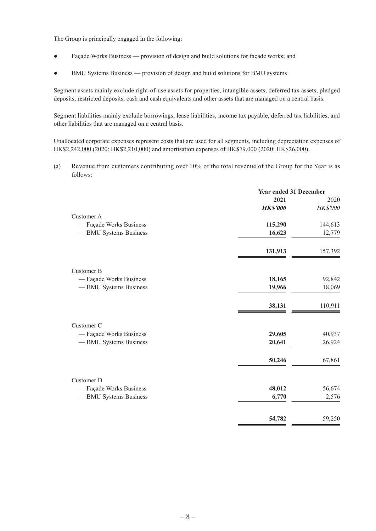The Group is principally engaged in the following:

- Façade Works Business provision of design and build solutions for façade works; and
- BMU Systems Business provision of design and build solutions for BMU systems

Segment assets mainly exclude right-of-use assets for properties, intangible assets, deferred tax assets, pledged deposits, restricted deposits, cash and cash equivalents and other assets that are managed on a central basis.

Segment liabilities mainly exclude borrowings, lease liabilities, income tax payable, deferred tax liabilities, and other liabilities that are managed on a central basis.

Unallocated corporate expenses represent costs that are used for all segments, including depreciation expenses of HK\$2,242,000 (2020: HK\$2,210,000) and amortisation expenses of HK\$79,000 (2020: HK\$26,000).

(a) Revenue from customers contributing over 10% of the total revenue of the Group for the Year is as follows:

|                         | <b>Year ended 31 December</b> |          |
|-------------------------|-------------------------------|----------|
|                         | 2021                          | 2020     |
|                         | <b>HKS'000</b>                | HK\$'000 |
| Customer A              |                               |          |
| - Façade Works Business | 115,290                       | 144,613  |
| - BMU Systems Business  | 16,623                        | 12,779   |
|                         | 131,913                       | 157,392  |
| Customer B              |                               |          |
| - Façade Works Business | 18,165                        | 92,842   |
| -BMU Systems Business   | 19,966                        | 18,069   |
|                         | 38,131                        | 110,911  |
| Customer C              |                               |          |
| - Façade Works Business | 29,605                        | 40,937   |
| - BMU Systems Business  | 20,641                        | 26,924   |
|                         | 50,246                        | 67,861   |
| Customer D              |                               |          |
| - Façade Works Business | 48,012                        | 56,674   |
| -BMU Systems Business   | 6,770                         | 2,576    |
|                         | 54,782                        | 59,250   |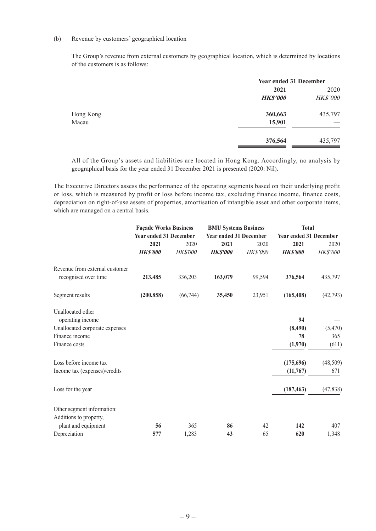#### (b) Revenue by customers' geographical location

The Group's revenue from external customers by geographical location, which is determined by locations of the customers is as follows:

|           |                 | <b>Year ended 31 December</b> |  |
|-----------|-----------------|-------------------------------|--|
|           | 2021            | 2020                          |  |
|           | <b>HK\$'000</b> | <b>HK\$'000</b>               |  |
| Hong Kong | 360,663         | 435,797                       |  |
| Macau     | 15,901          |                               |  |
|           | 376,564         | 435,797                       |  |
|           |                 |                               |  |

All of the Group's assets and liabilities are located in Hong Kong. Accordingly, no analysis by geographical basis for the year ended 31 December 2021 is presented (2020: Nil).

The Executive Directors assess the performance of the operating segments based on their underlying profit or loss, which is measured by profit or loss before income tax, excluding finance income, finance costs, depreciation on right-of-use assets of properties, amortisation of intangible asset and other corporate items, which are managed on a central basis.

|                                | <b>Façade Works Business</b><br><b>Year ended 31 December</b> |                 | <b>BMU Systems Business</b><br><b>Year ended 31 December</b> |          | <b>Total</b>                  |                 |
|--------------------------------|---------------------------------------------------------------|-----------------|--------------------------------------------------------------|----------|-------------------------------|-----------------|
|                                |                                                               |                 |                                                              |          | <b>Year ended 31 December</b> |                 |
|                                | 2021                                                          | 2020            | 2021                                                         | 2020     | 2021                          | 2020            |
|                                | <b>HKS'000</b>                                                | <b>HK\$'000</b> | <b>HKS'000</b>                                               | HK\$'000 | <b>HKS'000</b>                | <b>HK\$'000</b> |
| Revenue from external customer |                                                               |                 |                                                              |          |                               |                 |
| recognised over time           | 213,485                                                       | 336,203         | 163,079                                                      | 99,594   | 376,564                       | 435,797         |
| Segment results                | (200, 858)                                                    | (66,744)        | 35,450                                                       | 23,951   | (165, 408)                    | (42, 793)       |
| Unallocated other              |                                                               |                 |                                                              |          |                               |                 |
| operating income               |                                                               |                 |                                                              |          | 94                            |                 |
| Unallocated corporate expenses |                                                               |                 |                                                              |          | (8, 490)                      | (5,470)         |
| Finance income                 |                                                               |                 |                                                              |          | 78                            | 365             |
| Finance costs                  |                                                               |                 |                                                              |          | (1,970)                       | (611)           |
| Loss before income tax         |                                                               |                 |                                                              |          | (175,696)                     | (48,509)        |
| Income tax (expenses)/credits  |                                                               |                 |                                                              |          | (11,767)                      | 671             |
| Loss for the year              |                                                               |                 |                                                              |          | (187, 463)                    | (47, 838)       |
| Other segment information:     |                                                               |                 |                                                              |          |                               |                 |
| Additions to property,         |                                                               |                 |                                                              |          |                               |                 |
| plant and equipment            | 56                                                            | 365             | 86                                                           | 42       | 142                           | 407             |
| Depreciation                   | 577                                                           | 1,283           | 43                                                           | 65       | 620                           | 1,348           |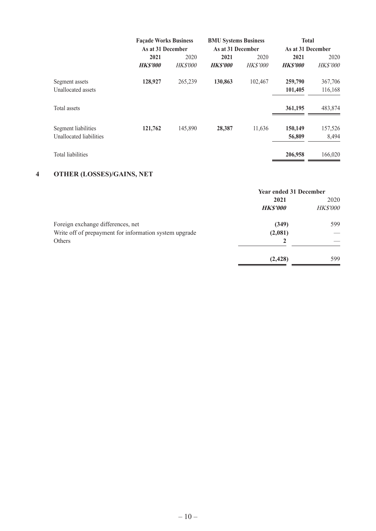|                         | <b>Façade Works Business</b> |                 | <b>BMU Systems Business</b> |                 | <b>Total</b>      |          |
|-------------------------|------------------------------|-----------------|-----------------------------|-----------------|-------------------|----------|
|                         | As at 31 December            |                 | As at 31 December           |                 | As at 31 December |          |
|                         | 2021                         | 2020            | 2021                        | 2020            | 2021              | 2020     |
|                         | <b>HKS'000</b>               | <i>HK\$'000</i> | <b>HKS'000</b>              | <b>HK\$'000</b> | <b>HKS'000</b>    | HK\$'000 |
| Segment assets          | 128,927                      | 265,239         | 130,863                     | 102,467         | 259,790           | 367,706  |
| Unallocated assets      |                              |                 |                             |                 | 101,405           | 116,168  |
| Total assets            |                              |                 |                             |                 | 361,195           | 483,874  |
| Segment liabilities     | 121,762                      | 145,890         | 28,387                      | 11,636          | 150,149           | 157,526  |
| Unallocated liabilities |                              |                 |                             |                 | 56,809            | 8,494    |
| Total liabilities       |                              |                 |                             |                 | 206,958           | 166,020  |

### **4 OTHER (LOSSES)/GAINS, NET**

|                                                        | <b>Year ended 31 December</b> |                 |
|--------------------------------------------------------|-------------------------------|-----------------|
|                                                        | 2021                          | 2020            |
|                                                        | <b>HKS'000</b>                | <b>HK\$'000</b> |
| Foreign exchange differences, net                      | (349)                         | 599             |
| Write off of prepayment for information system upgrade | (2,081)                       |                 |
| Others                                                 |                               |                 |
|                                                        | (2, 428)                      | 599             |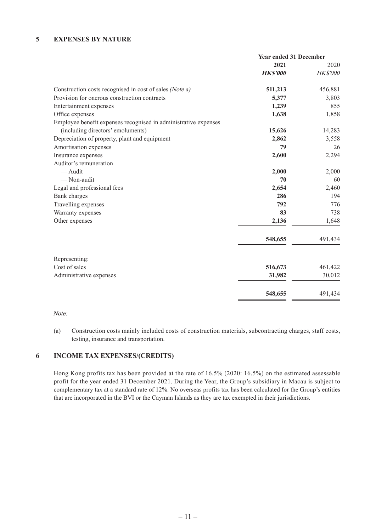#### **5 EXPENSES BY NATURE**

|                                                                 | <b>Year ended 31 December</b> |                 |
|-----------------------------------------------------------------|-------------------------------|-----------------|
|                                                                 | 2021                          | 2020            |
|                                                                 | <b>HKS'000</b>                | <b>HK\$'000</b> |
| Construction costs recognised in cost of sales (Note a)         | 511,213                       | 456,881         |
| Provision for onerous construction contracts                    | 5,377                         | 3,803           |
| Entertainment expenses                                          | 1,239                         | 855             |
| Office expenses                                                 | 1,638                         | 1,858           |
| Employee benefit expenses recognised in administrative expenses |                               |                 |
| (including directors' emoluments)                               | 15,626                        | 14,283          |
| Depreciation of property, plant and equipment                   | 2,862                         | 3,558           |
| Amortisation expenses                                           | 79                            | 26              |
| Insurance expenses                                              | 2,600                         | 2,294           |
| Auditor's remuneration                                          |                               |                 |
| -Audit                                                          | 2,000                         | 2,000           |
| — Non-audit                                                     | 70                            | 60              |
| Legal and professional fees                                     | 2,654                         | 2,460           |
| Bank charges                                                    | 286                           | 194             |
| Travelling expenses                                             | 792                           | 776             |
| Warranty expenses                                               | 83                            | 738             |
| Other expenses                                                  | 2,136                         | 1,648           |
|                                                                 | 548,655                       | 491,434         |
| Representing:                                                   |                               |                 |
| Cost of sales                                                   | 516,673                       | 461,422         |
| Administrative expenses                                         | 31,982                        | 30,012          |
|                                                                 | 548,655                       | 491,434         |

#### Note:

(a) Construction costs mainly included costs of construction materials, subcontracting charges, staff costs, testing, insurance and transportation.

#### **6 INCOME TAX EXPENSES/(CREDITS)**

Hong Kong profits tax has been provided at the rate of 16.5% (2020: 16.5%) on the estimated assessable profit for the year ended 31 December 2021. During the Year, the Group's subsidiary in Macau is subject to complementary tax at a standard rate of 12%. No overseas profits tax has been calculated for the Group's entities that are incorporated in the BVI or the Cayman Islands as they are tax exempted in their jurisdictions.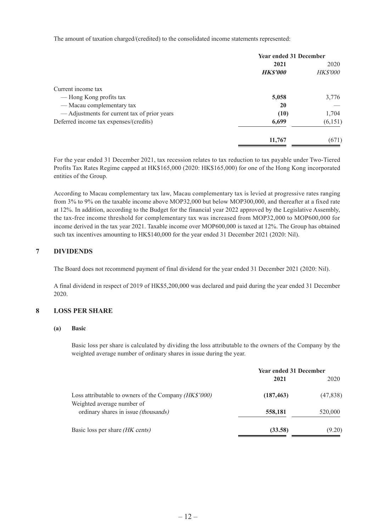The amount of taxation charged/(credited) to the consolidated income statements represented:

|                                              | <b>Year ended 31 December</b> |                 |
|----------------------------------------------|-------------------------------|-----------------|
|                                              | 2021                          | 2020            |
|                                              | <b>HKS'000</b>                | <b>HK\$'000</b> |
| Current income tax                           |                               |                 |
| — Hong Kong profits tax                      | 5,058                         | 3,776           |
| - Macau complementary tax                    | 20                            |                 |
| — Adjustments for current tax of prior years | (10)                          | 1,704           |
| Deferred income tax expenses/(credits)       | 6,699                         | (6, 151)        |
|                                              | 11,767                        | (671)           |

For the year ended 31 December 2021, tax recession relates to tax reduction to tax payable under Two-Tiered Profits Tax Rates Regime capped at HK\$165,000 (2020: HK\$165,000) for one of the Hong Kong incorporated entities of the Group.

According to Macau complementary tax law, Macau complementary tax is levied at progressive rates ranging from 3% to 9% on the taxable income above MOP32,000 but below MOP300,000, and thereafter at a fixed rate at 12%. In addition, according to the Budget for the financial year 2022 approved by the Legislative Assembly, the tax-free income threshold for complementary tax was increased from MOP32,000 to MOP600,000 for income derived in the tax year 2021. Taxable income over MOP600,000 is taxed at 12%. The Group has obtained such tax incentives amounting to HK\$140,000 for the year ended 31 December 2021 (2020: Nil).

#### **7 DIVIDENDS**

The Board does not recommend payment of final dividend for the year ended 31 December 2021 (2020: Nil).

A final dividend in respect of 2019 of HK\$5,200,000 was declared and paid during the year ended 31 December 2020.

#### **8 LOSS PER SHARE**

#### **(a) Basic**

Basic loss per share is calculated by dividing the loss attributable to the owners of the Company by the weighted average number of ordinary shares in issue during the year.

|                                                                    | <b>Year ended 31 December</b> |           |
|--------------------------------------------------------------------|-------------------------------|-----------|
|                                                                    | 2021                          | 2020      |
| Loss attributable to owners of the Company <i>(HK\$'000)</i>       | (187, 463)                    | (47, 838) |
| Weighted average number of<br>ordinary shares in issue (thousands) | 558,181                       | 520,000   |
| Basic loss per share (HK cents)                                    | (33.58)                       | (9.20)    |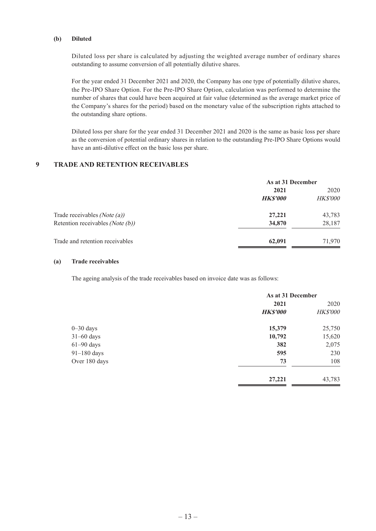#### **(b) Diluted**

Diluted loss per share is calculated by adjusting the weighted average number of ordinary shares outstanding to assume conversion of all potentially dilutive shares.

For the year ended 31 December 2021 and 2020, the Company has one type of potentially dilutive shares, the Pre-IPO Share Option. For the Pre-IPO Share Option, calculation was performed to determine the number of shares that could have been acquired at fair value (determined as the average market price of the Company's shares for the period) based on the monetary value of the subscription rights attached to the outstanding share options.

Diluted loss per share for the year ended 31 December 2021 and 2020 is the same as basic loss per share as the conversion of potential ordinary shares in relation to the outstanding Pre-IPO Share Options would have an anti-dilutive effect on the basic loss per share.

#### **9 TRADE AND RETENTION RECEIVABLES**

|                                     |                | As at 31 December |  |
|-------------------------------------|----------------|-------------------|--|
|                                     | 2021           | 2020              |  |
|                                     | <b>HKS'000</b> | <b>HK\$'000</b>   |  |
| Trade receivables (Note $(a)$ )     | 27,221         | 43,783            |  |
| Retention receivables (Note $(b)$ ) | 34,870         | 28,187            |  |
| Trade and retention receivables     | 62,091         | 71,970            |  |

#### **(a) Trade receivables**

The ageing analysis of the trade receivables based on invoice date was as follows:

|               | As at 31 December |                 |
|---------------|-------------------|-----------------|
|               | 2021              | 2020            |
|               | <b>HKS'000</b>    | <b>HK\$'000</b> |
| $0 - 30$ days | 15,379            | 25,750          |
| $31-60$ days  | 10,792            | 15,620          |
| $61-90$ days  | 382               | 2,075           |
| $91-180$ days | 595               | 230             |
| Over 180 days | 73                | 108             |
|               | 27,221            | 43,783          |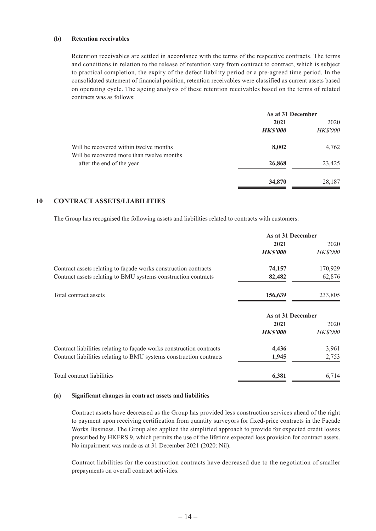#### **(b) Retention receivables**

Retention receivables are settled in accordance with the terms of the respective contracts. The terms and conditions in relation to the release of retention vary from contract to contract, which is subject to practical completion, the expiry of the defect liability period or a pre-agreed time period. In the consolidated statement of financial position, retention receivables were classified as current assets based on operating cycle. The ageing analysis of these retention receivables based on the terms of related contracts was as follows:

|                                                                                     | As at 31 December |                 |
|-------------------------------------------------------------------------------------|-------------------|-----------------|
|                                                                                     | 2021              | 2020            |
|                                                                                     | <b>HKS'000</b>    | <b>HK\$'000</b> |
| Will be recovered within twelve months<br>Will be recovered more than twelve months | 8,002             | 4,762           |
| after the end of the year                                                           | 26,868            | 23,425          |
|                                                                                     | 34,870            | 28,187          |

#### **10 CONTRACT ASSETS/LIABILITIES**

The Group has recognised the following assets and liabilities related to contracts with customers:

| As at 31 December |                 |
|-------------------|-----------------|
| 2021              | 2020            |
| <b>HKS'000</b>    | <i>HK\$'000</i> |
| 74,157            | 170,929         |
| 82,482            | 62,876          |
| 156,639           | 233,805         |
| As at 31 December |                 |
| 2021              | 2020            |
| <b>HKS'000</b>    | <b>HK\$'000</b> |
| 4,436             | 3,961           |
| 1,945             | 2,753           |
| 6,381             | 6,714           |
|                   |                 |

#### **(a) Significant changes in contract assets and liabilities**

Contract assets have decreased as the Group has provided less construction services ahead of the right to payment upon receiving certification from quantity surveyors for fixed-price contracts in the Façade Works Business. The Group also applied the simplified approach to provide for expected credit losses prescribed by HKFRS 9, which permits the use of the lifetime expected loss provision for contract assets. No impairment was made as at 31 December 2021 (2020: Nil).

Contract liabilities for the construction contracts have decreased due to the negotiation of smaller prepayments on overall contract activities.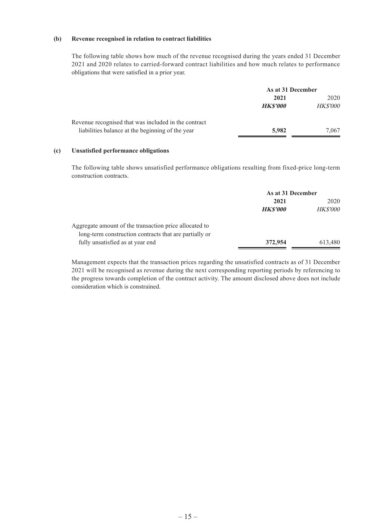#### **(b) Revenue recognised in relation to contract liabilities**

The following table shows how much of the revenue recognised during the years ended 31 December 2021 and 2020 relates to carried-forward contract liabilities and how much relates to performance obligations that were satisfied in a prior year.

|                                                      | As at 31 December |                 |
|------------------------------------------------------|-------------------|-----------------|
|                                                      | 2021              | 2020            |
|                                                      | <b>HKS'000</b>    | <b>HK\$'000</b> |
| Revenue recognised that was included in the contract |                   |                 |
| liabilities balance at the beginning of the year     | 5,982             | 7.067           |

#### **(c) Unsatisfied performance obligations**

The following table shows unsatisfied performance obligations resulting from fixed-price long-term construction contracts.

|                                                        | As at 31 December |                 |
|--------------------------------------------------------|-------------------|-----------------|
|                                                        | 2021              | 2020            |
|                                                        | <b>HKS'000</b>    | <b>HK\$'000</b> |
| Aggregate amount of the transaction price allocated to |                   |                 |
| long-term construction contracts that are partially or |                   |                 |
| fully unsatisfied as at year end                       | 372,954           | 613,480         |

Management expects that the transaction prices regarding the unsatisfied contracts as of 31 December 2021 will be recognised as revenue during the next corresponding reporting periods by referencing to the progress towards completion of the contract activity. The amount disclosed above does not include consideration which is constrained.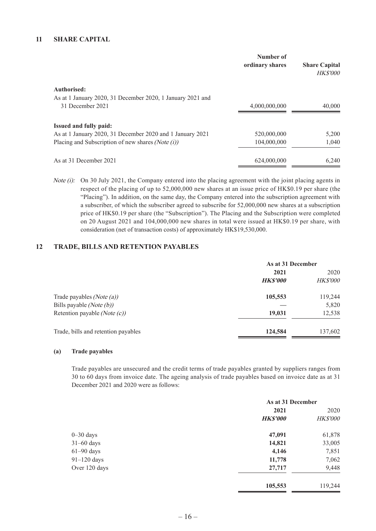|                                                                                  | Number of<br>ordinary shares | <b>Share Capital</b><br><b>HK\$'000</b> |
|----------------------------------------------------------------------------------|------------------------------|-----------------------------------------|
| <b>Authorised:</b><br>As at 1 January 2020, 31 December 2020, 1 January 2021 and |                              |                                         |
| 31 December 2021                                                                 | 4,000,000,000                | 40,000                                  |
| <b>Issued and fully paid:</b>                                                    |                              |                                         |
| As at 1 January 2020, 31 December 2020 and 1 January 2021                        | 520,000,000                  | 5,200                                   |
| Placing and Subscription of new shares (Note $(i)$ )                             | 104,000,000                  | 1,040                                   |
| As at 31 December 2021                                                           | 624,000,000                  | 6.240                                   |

Note (i): On 30 July 2021, the Company entered into the placing agreement with the joint placing agents in respect of the placing of up to 52,000,000 new shares at an issue price of HK\$0.19 per share (the "Placing"). In addition, on the same day, the Company entered into the subscription agreement with a subscriber, of which the subscriber agreed to subscribe for 52,000,000 new shares at a subscription price of HK\$0.19 per share (the "Subscription"). The Placing and the Subscription were completed on 20 August 2021 and 104,000,000 new shares in total were issued at HK\$0.19 per share, with consideration (net of transaction costs) of approximately HK\$19,530,000.

#### **12 TRADE, BILLS AND RETENTION PAYABLES**

| As at 31 December |                 |
|-------------------|-----------------|
| 2021              | 2020            |
| <b>HKS'000</b>    | <b>HK\$'000</b> |
| 105,553           | 119,244         |
|                   | 5,820           |
| 19,031            | 12,538          |
| 124,584           | 137,602         |
|                   |                 |

#### **(a) Trade payables**

Trade payables are unsecured and the credit terms of trade payables granted by suppliers ranges from 30 to 60 days from invoice date. The ageing analysis of trade payables based on invoice date as at 31 December 2021 and 2020 were as follows:

|               | As at 31 December |                 |
|---------------|-------------------|-----------------|
|               | 2021              | 2020            |
|               | <b>HKS'000</b>    | <b>HK\$'000</b> |
| $0 - 30$ days | 47,091            | 61,878          |
| $31-60$ days  | 14,821            | 33,005          |
| $61-90$ days  | 4,146             | 7,851           |
| $91-120$ days | 11,778            | 7,062           |
| Over 120 days | 27,717            | 9,448           |
|               | 105,553           | 119,244         |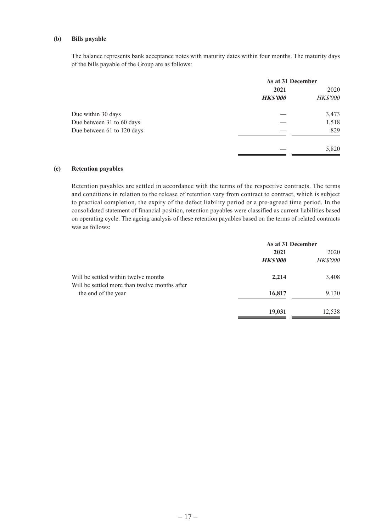#### **(b) Bills payable**

The balance represents bank acceptance notes with maturity dates within four months. The maturity days of the bills payable of the Group are as follows:

|                            |                | As at 31 December |  |
|----------------------------|----------------|-------------------|--|
|                            | 2021           | 2020              |  |
|                            | <b>HKS'000</b> | <b>HK\$'000</b>   |  |
| Due within 30 days         |                | 3,473             |  |
| Due between 31 to 60 days  |                | 1,518             |  |
| Due between 61 to 120 days |                | 829               |  |
|                            |                | 5,820             |  |

#### **(c) Retention payables**

Retention payables are settled in accordance with the terms of the respective contracts. The terms and conditions in relation to the release of retention vary from contract to contract, which is subject to practical completion, the expiry of the defect liability period or a pre-agreed time period. In the consolidated statement of financial position, retention payables were classified as current liabilities based on operating cycle. The ageing analysis of these retention payables based on the terms of related contracts was as follows:

|                                                                                       |                | As at 31 December |  |
|---------------------------------------------------------------------------------------|----------------|-------------------|--|
|                                                                                       | 2021           | 2020              |  |
|                                                                                       | <b>HKS'000</b> | <b>HK\$'000</b>   |  |
| Will be settled within twelve months<br>Will be settled more than twelve months after | 2,214          | 3,408             |  |
| the end of the year                                                                   | 16,817         | 9,130             |  |
|                                                                                       | 19,031         | 12,538            |  |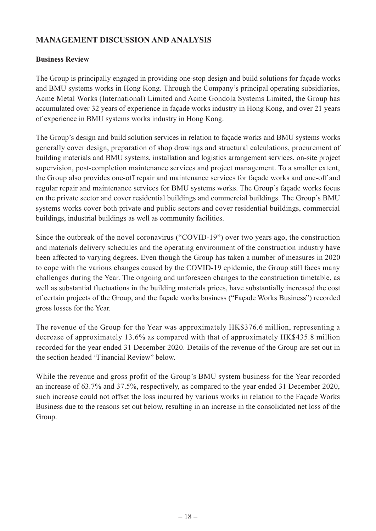# **MANAGEMENT DISCUSSION AND ANALYSIS**

### **Business Review**

The Group is principally engaged in providing one-stop design and build solutions for façade works and BMU systems works in Hong Kong. Through the Company's principal operating subsidiaries, Acme Metal Works (International) Limited and Acme Gondola Systems Limited, the Group has accumulated over 32 years of experience in façade works industry in Hong Kong, and over 21 years of experience in BMU systems works industry in Hong Kong.

The Group's design and build solution services in relation to façade works and BMU systems works generally cover design, preparation of shop drawings and structural calculations, procurement of building materials and BMU systems, installation and logistics arrangement services, on-site project supervision, post-completion maintenance services and project management. To a smaller extent, the Group also provides one-off repair and maintenance services for façade works and one-off and regular repair and maintenance services for BMU systems works. The Group's façade works focus on the private sector and cover residential buildings and commercial buildings. The Group's BMU systems works cover both private and public sectors and cover residential buildings, commercial buildings, industrial buildings as well as community facilities.

Since the outbreak of the novel coronavirus ("COVID-19") over two years ago, the construction and materials delivery schedules and the operating environment of the construction industry have been affected to varying degrees. Even though the Group has taken a number of measures in 2020 to cope with the various changes caused by the COVID-19 epidemic, the Group still faces many challenges during the Year. The ongoing and unforeseen changes to the construction timetable, as well as substantial fluctuations in the building materials prices, have substantially increased the cost of certain projects of the Group, and the façade works business ("Façade Works Business") recorded gross losses for the Year.

The revenue of the Group for the Year was approximately HK\$376.6 million, representing a decrease of approximately 13.6% as compared with that of approximately HK\$435.8 million recorded for the year ended 31 December 2020. Details of the revenue of the Group are set out in the section headed "Financial Review" below.

While the revenue and gross profit of the Group's BMU system business for the Year recorded an increase of 63.7% and 37.5%, respectively, as compared to the year ended 31 December 2020, such increase could not offset the loss incurred by various works in relation to the Façade Works Business due to the reasons set out below, resulting in an increase in the consolidated net loss of the Group.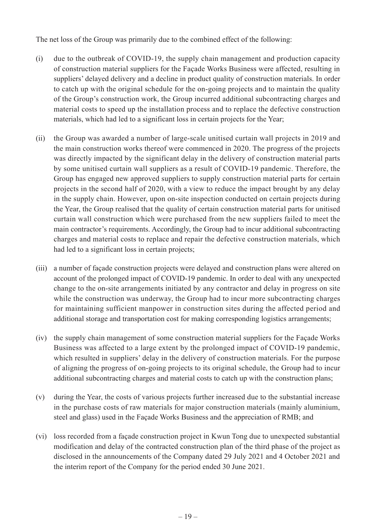The net loss of the Group was primarily due to the combined effect of the following:

- (i) due to the outbreak of COVID-19, the supply chain management and production capacity of construction material suppliers for the Façade Works Business were affected, resulting in suppliers' delayed delivery and a decline in product quality of construction materials. In order to catch up with the original schedule for the on-going projects and to maintain the quality of the Group's construction work, the Group incurred additional subcontracting charges and material costs to speed up the installation process and to replace the defective construction materials, which had led to a significant loss in certain projects for the Year;
- (ii) the Group was awarded a number of large-scale unitised curtain wall projects in 2019 and the main construction works thereof were commenced in 2020. The progress of the projects was directly impacted by the significant delay in the delivery of construction material parts by some unitised curtain wall suppliers as a result of COVID-19 pandemic. Therefore, the Group has engaged new approved suppliers to supply construction material parts for certain projects in the second half of 2020, with a view to reduce the impact brought by any delay in the supply chain. However, upon on-site inspection conducted on certain projects during the Year, the Group realised that the quality of certain construction material parts for unitised curtain wall construction which were purchased from the new suppliers failed to meet the main contractor's requirements. Accordingly, the Group had to incur additional subcontracting charges and material costs to replace and repair the defective construction materials, which had led to a significant loss in certain projects;
- (iii) a number of façade construction projects were delayed and construction plans were altered on account of the prolonged impact of COVID-19 pandemic. In order to deal with any unexpected change to the on-site arrangements initiated by any contractor and delay in progress on site while the construction was underway, the Group had to incur more subcontracting charges for maintaining sufficient manpower in construction sites during the affected period and additional storage and transportation cost for making corresponding logistics arrangements;
- (iv) the supply chain management of some construction material suppliers for the Façade Works Business was affected to a large extent by the prolonged impact of COVID-19 pandemic, which resulted in suppliers' delay in the delivery of construction materials. For the purpose of aligning the progress of on-going projects to its original schedule, the Group had to incur additional subcontracting charges and material costs to catch up with the construction plans;
- (v) during the Year, the costs of various projects further increased due to the substantial increase in the purchase costs of raw materials for major construction materials (mainly aluminium, steel and glass) used in the Façade Works Business and the appreciation of RMB; and
- (vi) loss recorded from a façade construction project in Kwun Tong due to unexpected substantial modification and delay of the contracted construction plan of the third phase of the project as disclosed in the announcements of the Company dated 29 July 2021 and 4 October 2021 and the interim report of the Company for the period ended 30 June 2021.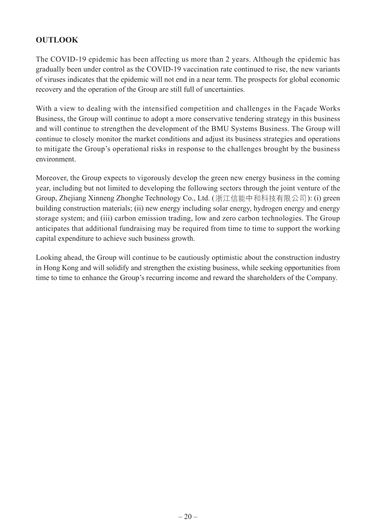# **OUTLOOK**

The COVID-19 epidemic has been affecting us more than 2 years. Although the epidemic has gradually been under control as the COVID-19 vaccination rate continued to rise, the new variants of viruses indicates that the epidemic will not end in a near term. The prospects for global economic recovery and the operation of the Group are still full of uncertainties.

With a view to dealing with the intensified competition and challenges in the Façade Works Business, the Group will continue to adopt a more conservative tendering strategy in this business and will continue to strengthen the development of the BMU Systems Business. The Group will continue to closely monitor the market conditions and adjust its business strategies and operations to mitigate the Group's operational risks in response to the challenges brought by the business environment.

Moreover, the Group expects to vigorously develop the green new energy business in the coming year, including but not limited to developing the following sectors through the joint venture of the Group, Zhejiang Xinneng Zhonghe Technology Co., Ltd. (浙江信能中和科技有限公司): (i) green building construction materials; (ii) new energy including solar energy, hydrogen energy and energy storage system; and (iii) carbon emission trading, low and zero carbon technologies. The Group anticipates that additional fundraising may be required from time to time to support the working capital expenditure to achieve such business growth.

Looking ahead, the Group will continue to be cautiously optimistic about the construction industry in Hong Kong and will solidify and strengthen the existing business, while seeking opportunities from time to time to enhance the Group's recurring income and reward the shareholders of the Company.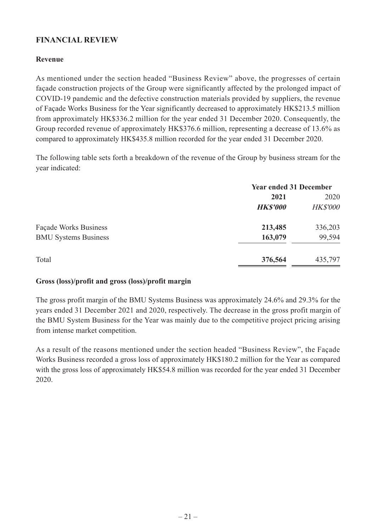# **FINANCIAL REVIEW**

### **Revenue**

As mentioned under the section headed "Business Review" above, the progresses of certain façade construction projects of the Group were significantly affected by the prolonged impact of COVID-19 pandemic and the defective construction materials provided by suppliers, the revenue of Façade Works Business for the Year significantly decreased to approximately HK\$213.5 million from approximately HK\$336.2 million for the year ended 31 December 2020. Consequently, the Group recorded revenue of approximately HK\$376.6 million, representing a decrease of 13.6% as compared to approximately HK\$435.8 million recorded for the year ended 31 December 2020.

The following table sets forth a breakdown of the revenue of the Group by business stream for the year indicated:

|                             | <b>Year ended 31 December</b> |                 |
|-----------------------------|-------------------------------|-----------------|
|                             | 2021                          | 2020            |
|                             | <b>HK\$'000</b>               | <b>HK\$'000</b> |
| Façade Works Business       | 213,485                       | 336,203         |
| <b>BMU Systems Business</b> | 163,079                       | 99,594          |
| Total                       | 376,564                       | 435,797         |

### **Gross (loss)/profit and gross (loss)/profit margin**

The gross profit margin of the BMU Systems Business was approximately 24.6% and 29.3% for the years ended 31 December 2021 and 2020, respectively. The decrease in the gross profit margin of the BMU System Business for the Year was mainly due to the competitive project pricing arising from intense market competition.

As a result of the reasons mentioned under the section headed "Business Review", the Façade Works Business recorded a gross loss of approximately HK\$180.2 million for the Year as compared with the gross loss of approximately HK\$54.8 million was recorded for the year ended 31 December 2020.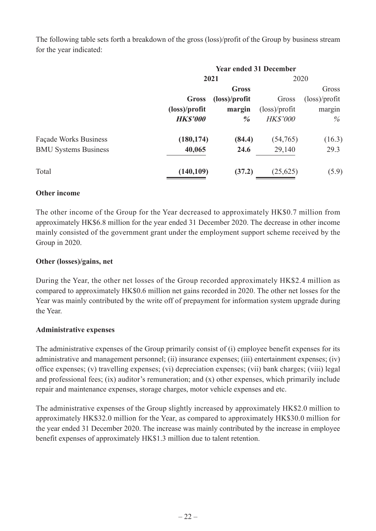The following table sets forth a breakdown of the gross (loss)/profit of the Group by business stream for the year indicated:

| <b>Year ended 31 December</b> |                        |                         |                         |  |
|-------------------------------|------------------------|-------------------------|-------------------------|--|
|                               | 2021                   |                         | 2020                    |  |
|                               | Gross                  |                         | Gross                   |  |
| Gross                         | $(\text{loss})/profit$ | Gross                   | $(\text{loss})$ /profit |  |
| $(\text{loss})/profit$        | margin                 | $(\text{loss})$ /profit | margin                  |  |
| <b>HK\$'000</b>               | $\frac{9}{6}$          | <b>HK\$'000</b>         | $\%$                    |  |
| (180, 174)                    | (84.4)                 | (54,765)                | (16.3)                  |  |
| 40,065                        | 24.6                   | 29,140                  | 29.3                    |  |
| (140,109)                     | (37.2)                 | (25, 625)               | (5.9)                   |  |
|                               |                        |                         |                         |  |

### **Other income**

The other income of the Group for the Year decreased to approximately HK\$0.7 million from approximately HK\$6.8 million for the year ended 31 December 2020. The decrease in other income mainly consisted of the government grant under the employment support scheme received by the Group in 2020.

### **Other (losses)/gains, net**

During the Year, the other net losses of the Group recorded approximately HK\$2.4 million as compared to approximately HK\$0.6 million net gains recorded in 2020. The other net losses for the Year was mainly contributed by the write off of prepayment for information system upgrade during the Year.

### **Administrative expenses**

The administrative expenses of the Group primarily consist of (i) employee benefit expenses for its administrative and management personnel; (ii) insurance expenses; (iii) entertainment expenses; (iv) office expenses; (v) travelling expenses; (vi) depreciation expenses; (vii) bank charges; (viii) legal and professional fees; (ix) auditor's remuneration; and (x) other expenses, which primarily include repair and maintenance expenses, storage charges, motor vehicle expenses and etc.

The administrative expenses of the Group slightly increased by approximately HK\$2.0 million to approximately HK\$32.0 million for the Year, as compared to approximately HK\$30.0 million for the year ended 31 December 2020. The increase was mainly contributed by the increase in employee benefit expenses of approximately HK\$1.3 million due to talent retention.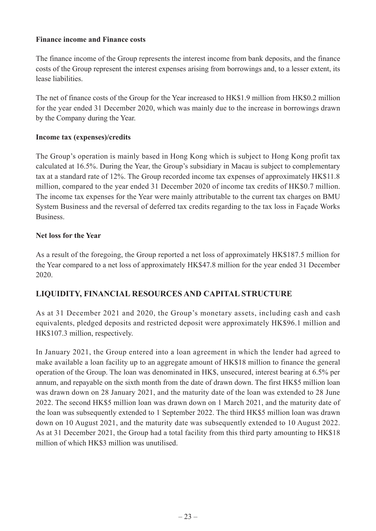### **Finance income and Finance costs**

The finance income of the Group represents the interest income from bank deposits, and the finance costs of the Group represent the interest expenses arising from borrowings and, to a lesser extent, its lease liabilities.

The net of finance costs of the Group for the Year increased to HK\$1.9 million from HK\$0.2 million for the year ended 31 December 2020, which was mainly due to the increase in borrowings drawn by the Company during the Year.

### **Income tax (expenses)/credits**

The Group's operation is mainly based in Hong Kong which is subject to Hong Kong profit tax calculated at 16.5%. During the Year, the Group's subsidiary in Macau is subject to complementary tax at a standard rate of 12%. The Group recorded income tax expenses of approximately HK\$11.8 million, compared to the year ended 31 December 2020 of income tax credits of HK\$0.7 million. The income tax expenses for the Year were mainly attributable to the current tax charges on BMU System Business and the reversal of deferred tax credits regarding to the tax loss in Façade Works Business.

### **Net loss for the Year**

As a result of the foregoing, the Group reported a net loss of approximately HK\$187.5 million for the Year compared to a net loss of approximately HK\$47.8 million for the year ended 31 December 2020.

# **LIQUIDITY, FINANCIAL RESOURCES AND CAPITAL STRUCTURE**

As at 31 December 2021 and 2020, the Group's monetary assets, including cash and cash equivalents, pledged deposits and restricted deposit were approximately HK\$96.1 million and HK\$107.3 million, respectively.

In January 2021, the Group entered into a loan agreement in which the lender had agreed to make available a loan facility up to an aggregate amount of HK\$18 million to finance the general operation of the Group. The loan was denominated in HK\$, unsecured, interest bearing at 6.5% per annum, and repayable on the sixth month from the date of drawn down. The first HK\$5 million loan was drawn down on 28 January 2021, and the maturity date of the loan was extended to 28 June 2022. The second HK\$5 million loan was drawn down on 1 March 2021, and the maturity date of the loan was subsequently extended to 1 September 2022. The third HK\$5 million loan was drawn down on 10 August 2021, and the maturity date was subsequently extended to 10 August 2022. As at 31 December 2021, the Group had a total facility from this third party amounting to HK\$18 million of which HK\$3 million was unutilised.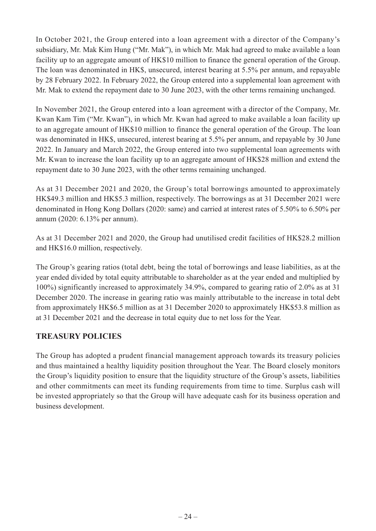In October 2021, the Group entered into a loan agreement with a director of the Company's subsidiary, Mr. Mak Kim Hung ("Mr. Mak"), in which Mr. Mak had agreed to make available a loan facility up to an aggregate amount of HK\$10 million to finance the general operation of the Group. The loan was denominated in HK\$, unsecured, interest bearing at 5.5% per annum, and repayable by 28 February 2022. In February 2022, the Group entered into a supplemental loan agreement with Mr. Mak to extend the repayment date to 30 June 2023, with the other terms remaining unchanged.

In November 2021, the Group entered into a loan agreement with a director of the Company, Mr. Kwan Kam Tim ("Mr. Kwan"), in which Mr. Kwan had agreed to make available a loan facility up to an aggregate amount of HK\$10 million to finance the general operation of the Group. The loan was denominated in HK\$, unsecured, interest bearing at 5.5% per annum, and repayable by 30 June 2022. In January and March 2022, the Group entered into two supplemental loan agreements with Mr. Kwan to increase the loan facility up to an aggregate amount of HK\$28 million and extend the repayment date to 30 June 2023, with the other terms remaining unchanged.

As at 31 December 2021 and 2020, the Group's total borrowings amounted to approximately HK\$49.3 million and HK\$5.3 million, respectively. The borrowings as at 31 December 2021 were denominated in Hong Kong Dollars (2020: same) and carried at interest rates of 5.50% to 6.50% per annum (2020: 6.13% per annum).

As at 31 December 2021 and 2020, the Group had unutilised credit facilities of HK\$28.2 million and HK\$16.0 million, respectively.

The Group's gearing ratios (total debt, being the total of borrowings and lease liabilities, as at the year ended divided by total equity attributable to shareholder as at the year ended and multiplied by 100%) significantly increased to approximately 34.9%, compared to gearing ratio of 2.0% as at 31 December 2020. The increase in gearing ratio was mainly attributable to the increase in total debt from approximately HK\$6.5 million as at 31 December 2020 to approximately HK\$53.8 million as at 31 December 2021 and the decrease in total equity due to net loss for the Year.

# **TREASURY POLICIES**

The Group has adopted a prudent financial management approach towards its treasury policies and thus maintained a healthy liquidity position throughout the Year. The Board closely monitors the Group's liquidity position to ensure that the liquidity structure of the Group's assets, liabilities and other commitments can meet its funding requirements from time to time. Surplus cash will be invested appropriately so that the Group will have adequate cash for its business operation and business development.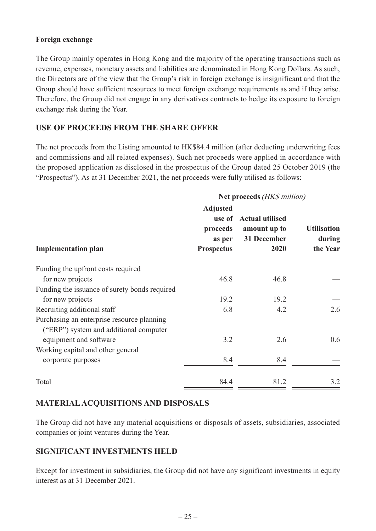### **Foreign exchange**

The Group mainly operates in Hong Kong and the majority of the operating transactions such as revenue, expenses, monetary assets and liabilities are denominated in Hong Kong Dollars. As such, the Directors are of the view that the Group's risk in foreign exchange is insignificant and that the Group should have sufficient resources to meet foreign exchange requirements as and if they arise. Therefore, the Group did not engage in any derivatives contracts to hedge its exposure to foreign exchange risk during the Year.

# **USE OF PROCEEDS FROM THE SHARE OFFER**

The net proceeds from the Listing amounted to HK\$84.4 million (after deducting underwriting fees and commissions and all related expenses). Such net proceeds were applied in accordance with the proposed application as disclosed in the prospectus of the Group dated 25 October 2019 (the "Prospectus"). As at 31 December 2021, the net proceeds were fully utilised as follows:

|                                                                                      | Net proceeds (HK\$ million)                                |                                                               |                                          |
|--------------------------------------------------------------------------------------|------------------------------------------------------------|---------------------------------------------------------------|------------------------------------------|
| <b>Implementation plan</b>                                                           | <b>Adjusted</b><br>proceeds<br>as per<br><b>Prospectus</b> | use of Actual utilised<br>amount up to<br>31 December<br>2020 | <b>Utilisation</b><br>during<br>the Year |
| Funding the upfront costs required                                                   |                                                            |                                                               |                                          |
| for new projects                                                                     | 46.8                                                       | 46.8                                                          |                                          |
| Funding the issuance of surety bonds required                                        |                                                            |                                                               |                                          |
| for new projects                                                                     | 19.2                                                       | 19.2                                                          |                                          |
| Recruiting additional staff                                                          | 6.8                                                        | 4.2                                                           | 2.6                                      |
| Purchasing an enterprise resource planning<br>("ERP") system and additional computer |                                                            |                                                               |                                          |
| equipment and software                                                               | 3.2                                                        | 2.6                                                           | 0.6                                      |
| Working capital and other general                                                    |                                                            |                                                               |                                          |
| corporate purposes                                                                   | 8.4                                                        | 8.4                                                           |                                          |
| Total                                                                                | 84.4                                                       | 81.2                                                          | 3.2                                      |

# **MATERIAL ACQUISITIONS AND DISPOSALS**

The Group did not have any material acquisitions or disposals of assets, subsidiaries, associated companies or joint ventures during the Year.

### **SIGNIFICANT INVESTMENTS HELD**

Except for investment in subsidiaries, the Group did not have any significant investments in equity interest as at 31 December 2021.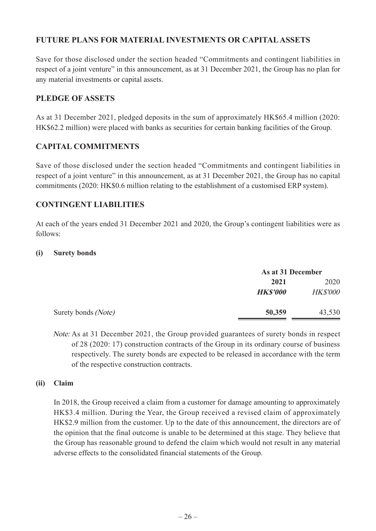# **FUTURE PLANS FOR MATERIAL INVESTMENTS OR CAPITAL ASSETS**

Save for those disclosed under the section headed "Commitments and contingent liabilities in respect of a joint venture" in this announcement, as at 31 December 2021, the Group has no plan for any material investments or capital assets.

# **PLEDGE OF ASSETS**

As at 31 December 2021, pledged deposits in the sum of approximately HK\$65.4 million (2020: HK\$62.2 million) were placed with banks as securities for certain banking facilities of the Group.

# **CAPITAL COMMITMENTS**

Save of those disclosed under the section headed "Commitments and contingent liabilities in respect of a joint venture" in this announcement, as at 31 December 2021, the Group has no capital commitments (2020: HK\$0.6 million relating to the establishment of a customised ERP system).

# **CONTINGENT LIABILITIES**

At each of the years ended 31 December 2021 and 2020, the Group's contingent liabilities were as follows:

### **(i) Surety bonds**

|                     | As at 31 December |                 |
|---------------------|-------------------|-----------------|
|                     | 2021              | 2020            |
|                     | <b>HK\$'000</b>   | <b>HK\$'000</b> |
| Surety bonds (Note) | 50,359            | 43,530          |

Note: As at 31 December 2021, the Group provided guarantees of surety bonds in respect of 28 (2020: 17) construction contracts of the Group in its ordinary course of business respectively. The surety bonds are expected to be released in accordance with the term of the respective construction contracts.

### **(ii) Claim**

In 2018, the Group received a claim from a customer for damage amounting to approximately HK\$3.4 million. During the Year, the Group received a revised claim of approximately HK\$2.9 million from the customer. Up to the date of this announcement, the directors are of the opinion that the final outcome is unable to be determined at this stage. They believe that the Group has reasonable ground to defend the claim which would not result in any material adverse effects to the consolidated financial statements of the Group.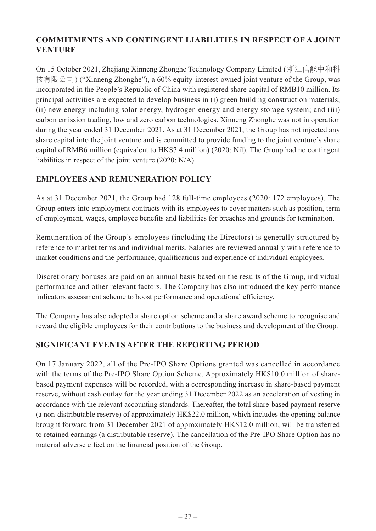# **COMMITMENTS AND CONTINGENT LIABILITIES IN RESPECT OF A JOINT VENTURE**

On 15 October 2021, Zhejiang Xinneng Zhonghe Technology Company Limited (浙江信能中和科 技有限公司) ("Xinneng Zhonghe"), a 60% equity-interest-owned joint venture of the Group, was incorporated in the People's Republic of China with registered share capital of RMB10 million. Its principal activities are expected to develop business in (i) green building construction materials; (ii) new energy including solar energy, hydrogen energy and energy storage system; and (iii) carbon emission trading, low and zero carbon technologies. Xinneng Zhonghe was not in operation during the year ended 31 December 2021. As at 31 December 2021, the Group has not injected any share capital into the joint venture and is committed to provide funding to the joint venture's share capital of RMB6 million (equivalent to HK\$7.4 million) (2020: Nil). The Group had no contingent liabilities in respect of the joint venture (2020: N/A).

# **EMPLOYEES AND REMUNERATION POLICY**

As at 31 December 2021, the Group had 128 full-time employees (2020: 172 employees). The Group enters into employment contracts with its employees to cover matters such as position, term of employment, wages, employee benefits and liabilities for breaches and grounds for termination.

Remuneration of the Group's employees (including the Directors) is generally structured by reference to market terms and individual merits. Salaries are reviewed annually with reference to market conditions and the performance, qualifications and experience of individual employees.

Discretionary bonuses are paid on an annual basis based on the results of the Group, individual performance and other relevant factors. The Company has also introduced the key performance indicators assessment scheme to boost performance and operational efficiency.

The Company has also adopted a share option scheme and a share award scheme to recognise and reward the eligible employees for their contributions to the business and development of the Group.

# **SIGNIFICANT EVENTS AFTER THE REPORTING PERIOD**

On 17 January 2022, all of the Pre-IPO Share Options granted was cancelled in accordance with the terms of the Pre-IPO Share Option Scheme. Approximately HK\$10.0 million of sharebased payment expenses will be recorded, with a corresponding increase in share-based payment reserve, without cash outlay for the year ending 31 December 2022 as an acceleration of vesting in accordance with the relevant accounting standards. Thereafter, the total share-based payment reserve (a non-distributable reserve) of approximately HK\$22.0 million, which includes the opening balance brought forward from 31 December 2021 of approximately HK\$12.0 million, will be transferred to retained earnings (a distributable reserve). The cancellation of the Pre-IPO Share Option has no material adverse effect on the financial position of the Group.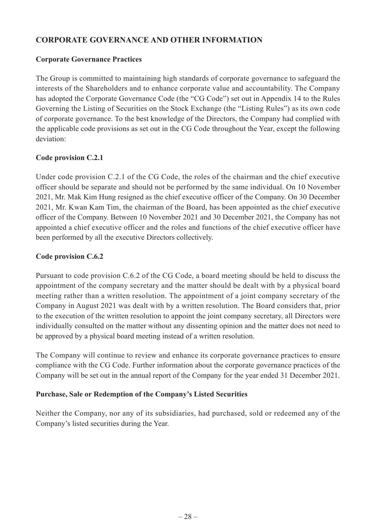# **CORPORATE GOVERNANCE AND OTHER INFORMATION**

### **Corporate Governance Practices**

The Group is committed to maintaining high standards of corporate governance to safeguard the interests of the Shareholders and to enhance corporate value and accountability. The Company has adopted the Corporate Governance Code (the "CG Code") set out in Appendix 14 to the Rules Governing the Listing of Securities on the Stock Exchange (the "Listing Rules") as its own code of corporate governance. To the best knowledge of the Directors, the Company had complied with the applicable code provisions as set out in the CG Code throughout the Year, except the following deviation:

### **Code provision C.2.1**

Under code provision C.2.1 of the CG Code, the roles of the chairman and the chief executive officer should be separate and should not be performed by the same individual. On 10 November 2021, Mr. Mak Kim Hung resigned as the chief executive officer of the Company. On 30 December 2021, Mr. Kwan Kam Tim, the chairman of the Board, has been appointed as the chief executive officer of the Company. Between 10 November 2021 and 30 December 2021, the Company has not appointed a chief executive officer and the roles and functions of the chief executive officer have been performed by all the executive Directors collectively.

### **Code provision C.6.2**

Pursuant to code provision C.6.2 of the CG Code, a board meeting should be held to discuss the appointment of the company secretary and the matter should be dealt with by a physical board meeting rather than a written resolution. The appointment of a joint company secretary of the Company in August 2021 was dealt with by a written resolution. The Board considers that, prior to the execution of the written resolution to appoint the joint company secretary, all Directors were individually consulted on the matter without any dissenting opinion and the matter does not need to be approved by a physical board meeting instead of a written resolution.

The Company will continue to review and enhance its corporate governance practices to ensure compliance with the CG Code. Further information about the corporate governance practices of the Company will be set out in the annual report of the Company for the year ended 31 December 2021.

### **Purchase, Sale or Redemption of the Company's Listed Securities**

Neither the Company, nor any of its subsidiaries, had purchased, sold or redeemed any of the Company's listed securities during the Year.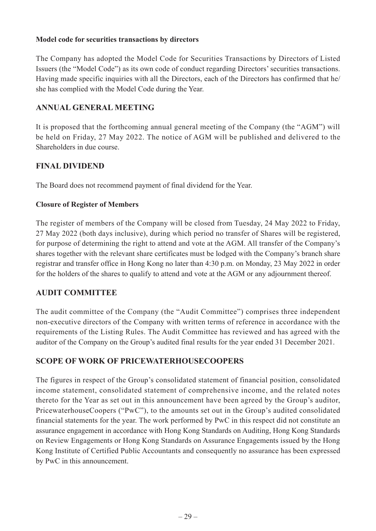### **Model code for securities transactions by directors**

The Company has adopted the Model Code for Securities Transactions by Directors of Listed Issuers (the "Model Code") as its own code of conduct regarding Directors' securities transactions. Having made specific inquiries with all the Directors, each of the Directors has confirmed that he/ she has complied with the Model Code during the Year.

# **ANNUAL GENERAL MEETING**

It is proposed that the forthcoming annual general meeting of the Company (the "AGM") will be held on Friday, 27 May 2022. The notice of AGM will be published and delivered to the Shareholders in due course.

# **FINAL DIVIDEND**

The Board does not recommend payment of final dividend for the Year.

### **Closure of Register of Members**

The register of members of the Company will be closed from Tuesday, 24 May 2022 to Friday, 27 May 2022 (both days inclusive), during which period no transfer of Shares will be registered, for purpose of determining the right to attend and vote at the AGM. All transfer of the Company's shares together with the relevant share certificates must be lodged with the Company's branch share registrar and transfer office in Hong Kong no later than 4:30 p.m. on Monday, 23 May 2022 in order for the holders of the shares to qualify to attend and vote at the AGM or any adjournment thereof.

### **AUDIT COMMITTEE**

The audit committee of the Company (the "Audit Committee") comprises three independent non-executive directors of the Company with written terms of reference in accordance with the requirements of the Listing Rules. The Audit Committee has reviewed and has agreed with the auditor of the Company on the Group's audited final results for the year ended 31 December 2021.

# **SCOPE OF WORK OF PRICEWATERHOUSECOOPERS**

The figures in respect of the Group's consolidated statement of financial position, consolidated income statement, consolidated statement of comprehensive income, and the related notes thereto for the Year as set out in this announcement have been agreed by the Group's auditor, PricewaterhouseCoopers ("PwC"), to the amounts set out in the Group's audited consolidated financial statements for the year. The work performed by PwC in this respect did not constitute an assurance engagement in accordance with Hong Kong Standards on Auditing, Hong Kong Standards on Review Engagements or Hong Kong Standards on Assurance Engagements issued by the Hong Kong Institute of Certified Public Accountants and consequently no assurance has been expressed by PwC in this announcement.